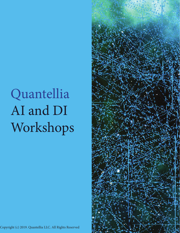# Quantellia AI and DI Workshops



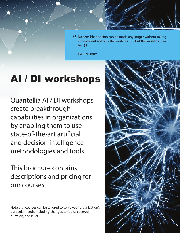**"** No sensible decision can be made any longer without taking<br>into account not only the world as it is, but the world as it will into account not only the world as it is, but the world as it will be. **JJ** 

Isaac Asimov

### AI / DI workshops

Quantellia AI / DI workshops create breakthrough capabilities in organizations by enabling them to use state-of-the-art artificial and decision intelligence methodologies and tools.

This brochure contains descriptions and pricing for our courses.

Note that courses can be tailored to serve your organization's particular needs, including changes to topics covered, duration, and level.

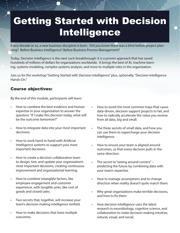### Getting Started with Decision Intelligence

Every decade or so, a new business discipline is born. Did you know there was a time before project planning? Before Business Intelligence? Before Business Process Management?

Today, Decision Intelligence is the next such breakthrough: it is a proven approach that has saved hundreds of millions of dollars for organizations worldwide. It brings the best of AI, machine learning, systems modeling, complex systems analysis, and more to multiple roles in the organization.

Join us for the workshop "Getting Started with Decision Intelligence" plus, optionally, "Decision Intelligence Hands-On."

#### Course objectives:

By the end of this module, participants will learn:

- How to combine the best evidence and human expertise in your organization to answer the question: "If I make this decision today, what will be the outcome tomorrow?"
- How to integrate data into your most important decisions.
- How to work hand-in-hand with Artificial Intelligence systems to support your most important decisions.
- How to create a decision collaboration team to design, test, and update your organization's most important decisions, creating continuous improvement and organizational learning.
- How to combine intangible factors, like employee engagement and customer experience, with tangible ones, like cost of goods and closed sales.
- Two secrets that, together, will increase your team's decision-making intelligence tenfold.
- How to make decisions that have multiple outcomes.
- How to avoid the most common traps that cause data-driven, decision support projects to fail, and how to radically accelerate the value you receive from all data, big and small.
- The three secrets of small data, and how you can use them to supercharge your decision intelligence.
- How to ensure your team is aligned around outcomes, so that every decision pulls in the same direction.
- The secret to "seeing around corners" predicting the future by combining data with your team's expertise.
- How to manage assumptions and to change direction when reality doesn't quite match them.
- Why great organizations make terrible decisions, and how to fix them.
- How decision intelligence uses the latest research in neurobiology, cognitive science, and collaboration to make decision-making intuitive, natural, visual, and social.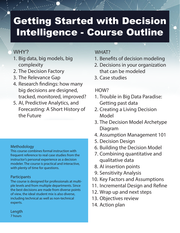## Getting Started with Decision Intelligence - Course Outline

#### WHY?

- 1. Big data, big models, big complexity
- 2. The Decision Factory
- 3. The Relevance Gap
- 4. Research findings: how many big decisions are designed, tracked, monitored, improved?
- 5. AI, Predictive Analytics, and Forecasting: A Short History of the Future

#### Methodology

This course combines formal instruction with frequent reference to real case studies from the instructor's personal experience as a decision modeler. The course is practical and interactive, with plenty of time for questions.

#### Participants

The course is designed for professionals at multiple levels and from multiple departments. Since the best decisions are made from diverse points of view, the ideal student mix is also diverse, including technical as well as non-technical experts.

#### WHAT?

- 1. Benefits of decision modeling
- 2. Decisions in your organization that can be modeled
- 3. Case studies

#### HOW?

- 1. Trouble in Big Data Paradise: Getting past data
- 2. Creating a Living Decision Model
- 3. The Decision Model Archetype Diagram
- 4. Assumption Management 101
- 5. Decision Design
- 6. Building the Decision Model
- 7. Combining quantitative and qualitative data
- 8. AI insertion points
- 9. Sensitivity Analysis
- 10. Key Factors and Assumptions
- 11. Incremental Design and Refine
- 12. Wrap up and next steps
- 13. Objectives review
- 14. Action plan

Length 7 hours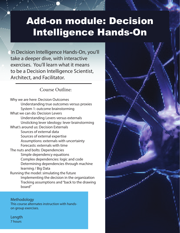### Add-on module: Decision Intelligence Hands-On

Realize that everything connects to

-Leonardo Da Vinci

In Decision Intelligence Hands-On, you'll take a deeper dive, with interactive exercises. You'll learn what it means to be a Decision Intelligence Scientist, Architect, and Facilitator.

#### Course Outline:

Why we are here: Decision Outcomes Understanding true outcomes versus proxies System 1: outcome brainstorming What we can do: Decision Levers Understanding Levers versus externals Unsticking lever ideology: lever brainstorming What's around us: Decision Externals Sources of external data Sources of external expertise Assumptions: externals with uncertainty Forecasts: externals with time The nuts and bolts: Dependencies Simple dependency equations Complex dependencies: logic and code Determining dependencies through machine learning / Big Data Running the model: simulating the future Implementing the decision in the organization Tracking assumptions and "back to the drawing board"

**Methodology** This course alternates instruction with handson group exercises.

Length 7 hours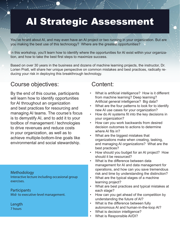## AI Strategic Assessment

You've heard about AI, and may even have an AI project or two running in your organization. But are you making the best use of this technology? Where are the greatest opportunities?

In this workshop, you'll learn how to identify where the opportunities for AI exist within your organization, and how to take the best first steps to maximize success.

Based on over 30 years in the business and dozens of machine learning projects, the instructor, Dr. Lorien Pratt, will share her unique perspective on common mistakes and best practices, radically reducing your risk in deploying this breakthrough technology.

### Course objectives: Content:

By the end of this course, participants will learn how to identify opportunities for AI throughout an organization and best practices for resourcing and managing AI teams. The course's focus is to demystify AI, and to add it to your toolbox of management / technologies to drive revenues and reduce costs in your organization, as well as to achieve multiple-bottom-line goals like environmental and social stewardship.

Methodology Interactive lecture including occasional group exercises.

Participants Mid- to executive-level management.

Length 7 hours

- What is artificial intelligence? How is it different from machine learning? Deep learning? Artificial general intelligence? Big data?
- What are the four patterns to look for to identify new AI use cases for your organization?
- How do AI systems fit into the key decisions in your organization?
- How can you work backwards from desired decision outcomes to actions to determine where AI fits in?
- What are the biggest mistakes that organizations make when creating, tasking, and managing AI organizations? What are the best practices?
- How should you budget for an AI project? How should it be resourced?
- What is the difference between data management for AI and data management for operations, and how can you save tremendous risk and time by understanding the distinction?
- What are the typical stages of a machine learning project?
- What are best practices and typical mistakes at each stage?
- How can you get ahead of the competition by understanding the future of AI?
- What is the difference between fully autonomous AI and human-in-the-loop AI?
- What is decision intelligence?
- What is Responsible AI/DI?